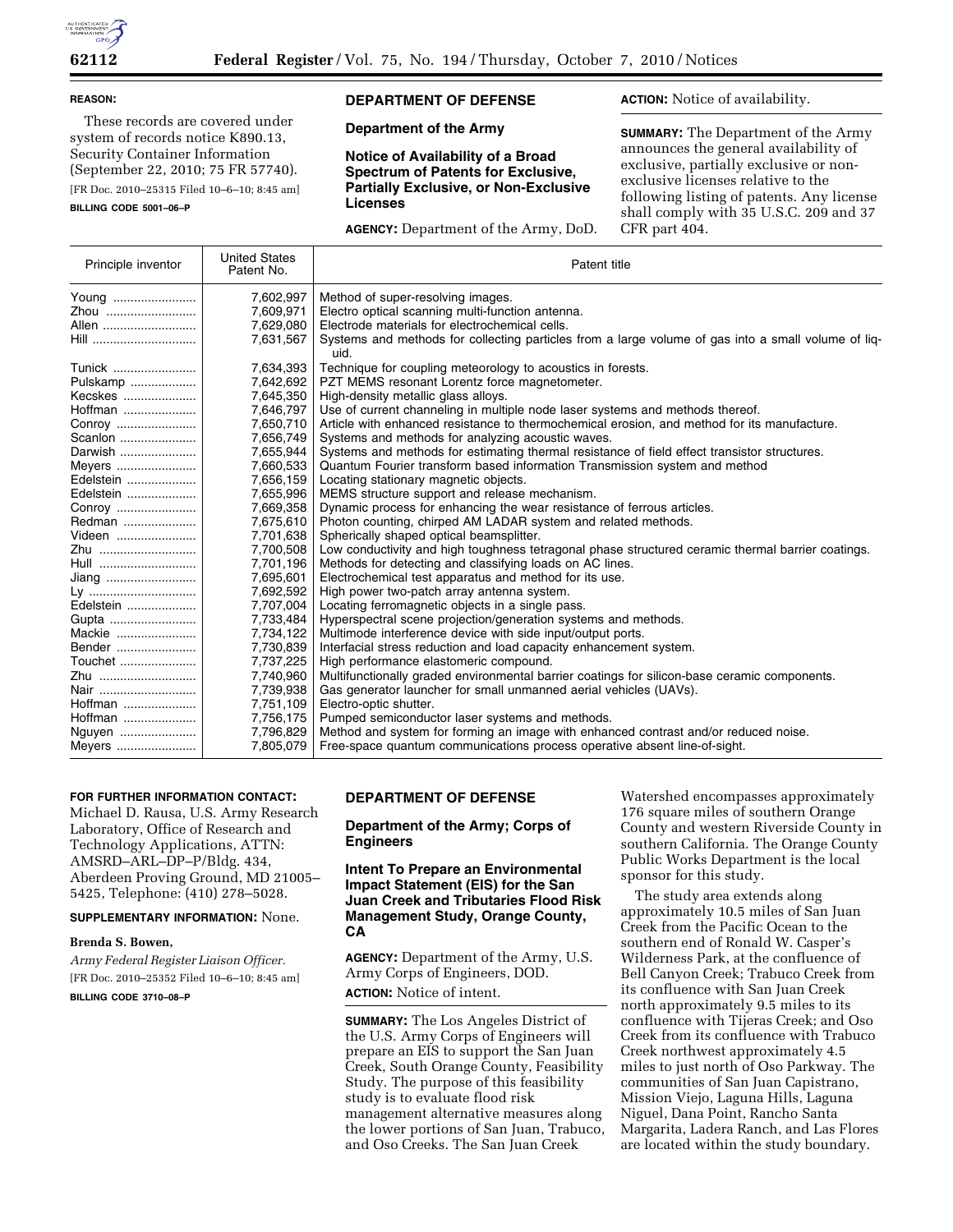

#### **REASON:**

These records are covered under system of records notice K890.13, Security Container Information (September 22, 2010; 75 FR 57740). [FR Doc. 2010–25315 Filed 10–6–10; 8:45 am]

**BILLING CODE 5001–06–P** 

# **DEPARTMENT OF DEFENSE**

## **Department of the Army**

**Notice of Availability of a Broad Spectrum of Patents for Exclusive, Partially Exclusive, or Non-Exclusive Licenses** 

**AGENCY:** Department of the Army, DoD.

**ACTION:** Notice of availability.

**SUMMARY:** The Department of the Army announces the general availability of exclusive, partially exclusive or nonexclusive licenses relative to the following listing of patents. Any license shall comply with 35 U.S.C. 209 and 37 CFR part 404.

| Principle inventor | <b>United States</b><br>Patent No. | Patent title                                                                                                |
|--------------------|------------------------------------|-------------------------------------------------------------------------------------------------------------|
| Young              | 7,602,997                          | Method of super-resolving images.                                                                           |
| Zhou               | 7,609,971                          | Electro optical scanning multi-function antenna.                                                            |
| Allen              | 7,629,080                          | Electrode materials for electrochemical cells.                                                              |
| Hill               | 7,631,567                          | Systems and methods for collecting particles from a large volume of gas into a small volume of lig-<br>uid. |
| Tunick             | 7,634,393                          | Technique for coupling meteorology to acoustics in forests.                                                 |
| Pulskamp           | 7,642,692                          | PZT MEMS resonant Lorentz force magnetometer.                                                               |
| Kecskes            | 7,645,350                          | High-density metallic glass alloys.                                                                         |
| Hoffman            | 7,646,797                          | Use of current channeling in multiple node laser systems and methods thereof.                               |
| Conroy             | 7,650,710                          | Article with enhanced resistance to thermochemical erosion, and method for its manufacture.                 |
| Scanlon            | 7,656,749                          | Systems and methods for analyzing acoustic waves.                                                           |
| Darwish            | 7,655,944                          | Systems and methods for estimating thermal resistance of field effect transistor structures.                |
| Meyers             | 7,660,533                          | Quantum Fourier transform based information Transmission system and method                                  |
| Edelstein          | 7,656,159                          | Locating stationary magnetic objects.                                                                       |
| Edelstein          | 7,655,996                          | MEMS structure support and release mechanism.                                                               |
| Conroy             | 7,669,358                          | Dynamic process for enhancing the wear resistance of ferrous articles.                                      |
| Redman             | 7,675,610                          | Photon counting, chirped AM LADAR system and related methods.                                               |
| Videen             | 7,701,638                          | Spherically shaped optical beamsplitter.                                                                    |
| Zhu                | 7,700,508                          | Low conductivity and high toughness tetragonal phase structured ceramic thermal barrier coatings.           |
| Hull               | 7,701,196                          | Methods for detecting and classifying loads on AC lines.                                                    |
| Jiang              | 7,695,601                          | Electrochemical test apparatus and method for its use.                                                      |
| Ly                 | 7,692,592                          | High power two-patch array antenna system.                                                                  |
| Edelstein          | 7,707,004                          | Locating ferromagnetic objects in a single pass.                                                            |
| Gupta              | 7,733,484                          | Hyperspectral scene projection/generation systems and methods.                                              |
| Mackie             | 7,734,122                          | Multimode interference device with side input/output ports.                                                 |
| Bender             | 7,730,839                          | Interfacial stress reduction and load capacity enhancement system.                                          |
| Touchet            | 7,737,225                          | High performance elastomeric compound.                                                                      |
| Zhu                | 7,740,960                          | Multifunctionally graded environmental barrier coatings for silicon-base ceramic components.                |
| Nair               | 7,739,938                          | Gas generator launcher for small unmanned aerial vehicles (UAVs).                                           |
| Hoffman            | 7,751,109                          | Electro-optic shutter.                                                                                      |
| Hoffman            | 7,756,175                          | Pumped semiconductor laser systems and methods.                                                             |
| Nguyen             | 7,796,829                          | Method and system for forming an image with enhanced contrast and/or reduced noise.                         |
| Meyers             | 7,805,079                          | Free-space quantum communications process operative absent line-of-sight.                                   |

### **FOR FURTHER INFORMATION CONTACT:**

Michael D. Rausa, U.S. Army Research Laboratory, Office of Research and Technology Applications, ATTN: AMSRD–ARL–DP–P/Bldg. 434, Aberdeen Proving Ground, MD 21005– 5425, Telephone: (410) 278–5028.

**SUPPLEMENTARY INFORMATION:** None.

#### **Brenda S. Bowen,**

*Army Federal Register Liaison Officer.*  [FR Doc. 2010–25352 Filed 10–6–10; 8:45 am] **BILLING CODE 3710–08–P** 

### **DEPARTMENT OF DEFENSE**

### **Department of the Army; Corps of Engineers**

## **Intent To Prepare an Environmental Impact Statement (EIS) for the San Juan Creek and Tributaries Flood Risk Management Study, Orange County, CA**

**AGENCY:** Department of the Army, U.S. Army Corps of Engineers, DOD. **ACTION:** Notice of intent.

**SUMMARY:** The Los Angeles District of the U.S. Army Corps of Engineers will prepare an EIS to support the San Juan Creek, South Orange County, Feasibility Study. The purpose of this feasibility study is to evaluate flood risk management alternative measures along the lower portions of San Juan, Trabuco, and Oso Creeks. The San Juan Creek

Watershed encompasses approximately 176 square miles of southern Orange County and western Riverside County in southern California. The Orange County Public Works Department is the local sponsor for this study.

The study area extends along approximately 10.5 miles of San Juan Creek from the Pacific Ocean to the southern end of Ronald W. Casper's Wilderness Park, at the confluence of Bell Canyon Creek; Trabuco Creek from its confluence with San Juan Creek north approximately 9.5 miles to its confluence with Tijeras Creek; and Oso Creek from its confluence with Trabuco Creek northwest approximately 4.5 miles to just north of Oso Parkway. The communities of San Juan Capistrano, Mission Viejo, Laguna Hills, Laguna Niguel, Dana Point, Rancho Santa Margarita, Ladera Ranch, and Las Flores are located within the study boundary.